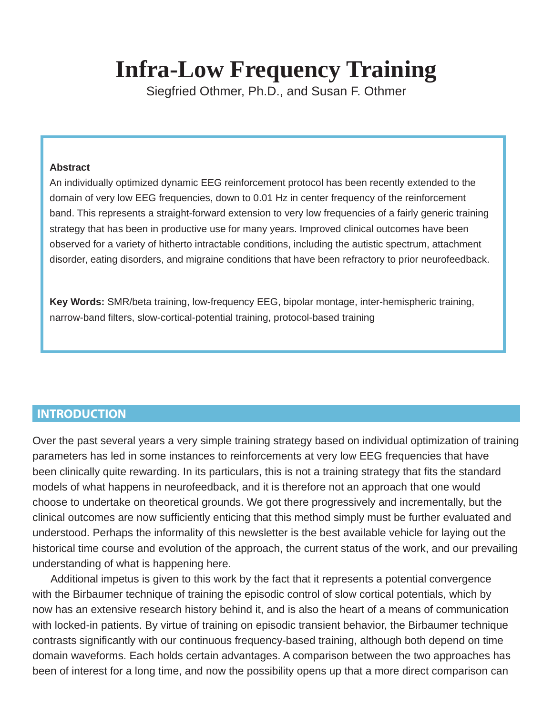# **Infra-Low Frequency Training**

Siegfried Othmer, Ph.D., and Susan F. Othmer

#### **Abstract**

An individually optimized dynamic EEG reinforcement protocol has been recently extended to the domain of very low EEG frequencies, down to 0.01 Hz in center frequency of the reinforcement band. This represents a straight-forward extension to very low frequencies of a fairly generic training strategy that has been in productive use for many years. Improved clinical outcomes have been observed for a variety of hitherto intractable conditions, including the autistic spectrum, attachment disorder, eating disorders, and migraine conditions that have been refractory to prior neurofeedback.

**Key Words:** SMR/beta training, low-frequency EEG, bipolar montage, inter-hemispheric training, narrow-band filters, slow-cortical-potential training, protocol-based training

# **INTRODUCTION**

Over the past several years a very simple training strategy based on individual optimization of training parameters has led in some instances to reinforcements at very low EEG frequencies that have been clinically quite rewarding. In its particulars, this is not a training strategy that fits the standard models of what happens in neurofeedback, and it is therefore not an approach that one would choose to undertake on theoretical grounds. We got there progressively and incrementally, but the clinical outcomes are now sufficiently enticing that this method simply must be further evaluated and understood. Perhaps the informality of this newsletter is the best available vehicle for laying out the historical time course and evolution of the approach, the current status of the work, and our prevailing understanding of what is happening here.

Additional impetus is given to this work by the fact that it represents a potential convergence with the Birbaumer technique of training the episodic control of slow cortical potentials, which by now has an extensive research history behind it, and is also the heart of a means of communication with locked-in patients. By virtue of training on episodic transient behavior, the Birbaumer technique contrasts significantly with our continuous frequency-based training, although both depend on time domain waveforms. Each holds certain advantages. A comparison between the two approaches has been of interest for a long time, and now the possibility opens up that a more direct comparison can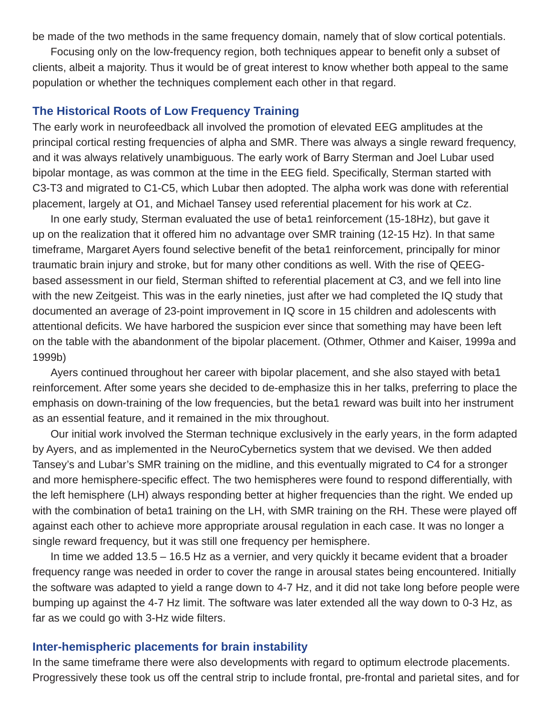be made of the two methods in the same frequency domain, namely that of slow cortical potentials.

Focusing only on the low-frequency region, both techniques appear to benefit only a subset of clients, albeit a majority. Thus it would be of great interest to know whether both appeal to the same population or whether the techniques complement each other in that regard.

## **The Historical Roots of Low Frequency Training**

The early work in neurofeedback all involved the promotion of elevated EEG amplitudes at the principal cortical resting frequencies of alpha and SMR. There was always a single reward frequency, and it was always relatively unambiguous. The early work of Barry Sterman and Joel Lubar used bipolar montage, as was common at the time in the EEG field. Specifically, Sterman started with C3-T3 and migrated to C1-C5, which Lubar then adopted. The alpha work was done with referential placement, largely at O1, and Michael Tansey used referential placement for his work at Cz.

In one early study, Sterman evaluated the use of beta1 reinforcement (15-18Hz), but gave it up on the realization that it offered him no advantage over SMR training (12-15 Hz). In that same timeframe, Margaret Ayers found selective benefit of the beta1 reinforcement, principally for minor traumatic brain injury and stroke, but for many other conditions as well. With the rise of QEEGbased assessment in our field, Sterman shifted to referential placement at C3, and we fell into line with the new Zeitgeist. This was in the early nineties, just after we had completed the IQ study that documented an average of 23-point improvement in IQ score in 15 children and adolescents with attentional deficits. We have harbored the suspicion ever since that something may have been left on the table with the abandonment of the bipolar placement. (Othmer, Othmer and Kaiser, 1999a and 1999b)

Ayers continued throughout her career with bipolar placement, and she also stayed with beta1 reinforcement. After some years she decided to de-emphasize this in her talks, preferring to place the emphasis on down-training of the low frequencies, but the beta1 reward was built into her instrument as an essential feature, and it remained in the mix throughout.

Our initial work involved the Sterman technique exclusively in the early years, in the form adapted by Ayers, and as implemented in the NeuroCybernetics system that we devised. We then added Tansey's and Lubar's SMR training on the midline, and this eventually migrated to C4 for a stronger and more hemisphere-specific effect. The two hemispheres were found to respond differentially, with the left hemisphere (LH) always responding better at higher frequencies than the right. We ended up with the combination of beta1 training on the LH, with SMR training on the RH. These were played off against each other to achieve more appropriate arousal regulation in each case. It was no longer a single reward frequency, but it was still one frequency per hemisphere.

In time we added 13.5 – 16.5 Hz as a vernier, and very quickly it became evident that a broader frequency range was needed in order to cover the range in arousal states being encountered. Initially the software was adapted to yield a range down to 4-7 Hz, and it did not take long before people were bumping up against the 4-7 Hz limit. The software was later extended all the way down to 0-3 Hz, as far as we could go with 3-Hz wide filters.

#### **Inter-hemispheric placements for brain instability**

In the same timeframe there were also developments with regard to optimum electrode placements. Progressively these took us off the central strip to include frontal, pre-frontal and parietal sites, and for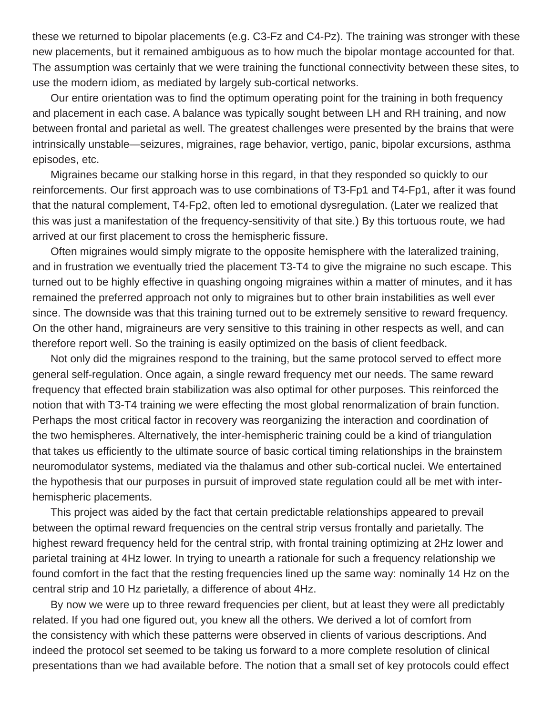these we returned to bipolar placements (e.g. C3-Fz and C4-Pz). The training was stronger with these new placements, but it remained ambiguous as to how much the bipolar montage accounted for that. The assumption was certainly that we were training the functional connectivity between these sites, to use the modern idiom, as mediated by largely sub-cortical networks.

Our entire orientation was to find the optimum operating point for the training in both frequency and placement in each case. A balance was typically sought between LH and RH training, and now between frontal and parietal as well. The greatest challenges were presented by the brains that were intrinsically unstable—seizures, migraines, rage behavior, vertigo, panic, bipolar excursions, asthma episodes, etc.

Migraines became our stalking horse in this regard, in that they responded so quickly to our reinforcements. Our first approach was to use combinations of T3-Fp1 and T4-Fp1, after it was found that the natural complement, T4-Fp2, often led to emotional dysregulation. (Later we realized that this was just a manifestation of the frequency-sensitivity of that site.) By this tortuous route, we had arrived at our first placement to cross the hemispheric fissure.

Often migraines would simply migrate to the opposite hemisphere with the lateralized training, and in frustration we eventually tried the placement T3-T4 to give the migraine no such escape. This turned out to be highly effective in quashing ongoing migraines within a matter of minutes, and it has remained the preferred approach not only to migraines but to other brain instabilities as well ever since. The downside was that this training turned out to be extremely sensitive to reward frequency. On the other hand, migraineurs are very sensitive to this training in other respects as well, and can therefore report well. So the training is easily optimized on the basis of client feedback.

Not only did the migraines respond to the training, but the same protocol served to effect more general self-regulation. Once again, a single reward frequency met our needs. The same reward frequency that effected brain stabilization was also optimal for other purposes. This reinforced the notion that with T3-T4 training we were effecting the most global renormalization of brain function. Perhaps the most critical factor in recovery was reorganizing the interaction and coordination of the two hemispheres. Alternatively, the inter-hemispheric training could be a kind of triangulation that takes us efficiently to the ultimate source of basic cortical timing relationships in the brainstem neuromodulator systems, mediated via the thalamus and other sub-cortical nuclei. We entertained the hypothesis that our purposes in pursuit of improved state regulation could all be met with interhemispheric placements.

This project was aided by the fact that certain predictable relationships appeared to prevail between the optimal reward frequencies on the central strip versus frontally and parietally. The highest reward frequency held for the central strip, with frontal training optimizing at 2Hz lower and parietal training at 4Hz lower. In trying to unearth a rationale for such a frequency relationship we found comfort in the fact that the resting frequencies lined up the same way: nominally 14 Hz on the central strip and 10 Hz parietally, a difference of about 4Hz.

By now we were up to three reward frequencies per client, but at least they were all predictably related. If you had one figured out, you knew all the others. We derived a lot of comfort from the consistency with which these patterns were observed in clients of various descriptions. And indeed the protocol set seemed to be taking us forward to a more complete resolution of clinical presentations than we had available before. The notion that a small set of key protocols could effect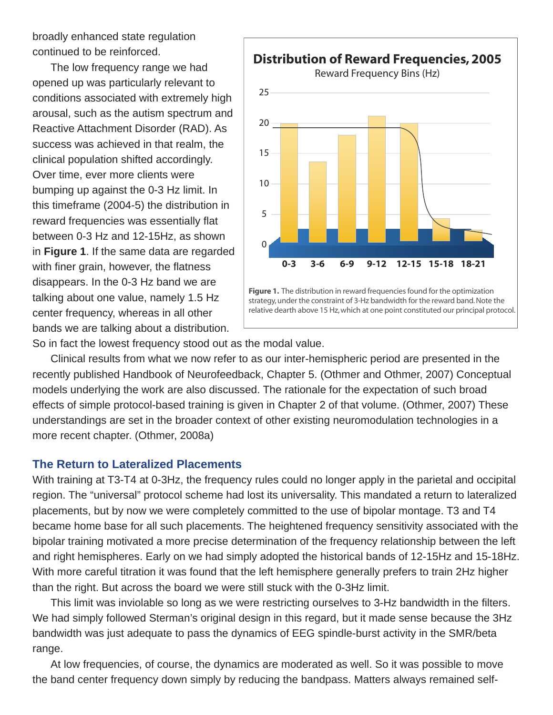broadly enhanced state regulation continued to be reinforced.

The low frequency range we had opened up was particularly relevant to conditions associated with extremely high arousal, such as the autism spectrum and Reactive Attachment Disorder (RAD). As success was achieved in that realm, the clinical population shifted accordingly. Over time, ever more clients were bumping up against the 0-3 Hz limit. In this timeframe (2004-5) the distribution in reward frequencies was essentially flat between 0-3 Hz and 12-15Hz, as shown in **Figure 1**. If the same data are regarded with finer grain, however, the flatness disappears. In the 0-3 Hz band we are talking about one value, namely 1.5 Hz center frequency, whereas in all other bands we are talking about a distribution.



So in fact the lowest frequency stood out as the modal value.

Clinical results from what we now refer to as our inter-hemispheric period are presented in the recently published Handbook of Neurofeedback, Chapter 5. (Othmer and Othmer, 2007) Conceptual models underlying the work are also discussed. The rationale for the expectation of such broad effects of simple protocol-based training is given in Chapter 2 of that volume. (Othmer, 2007) These understandings are set in the broader context of other existing neuromodulation technologies in a more recent chapter. (Othmer, 2008a)

## **The Return to Lateralized Placements**

With training at T3-T4 at 0-3Hz, the frequency rules could no longer apply in the parietal and occipital region. The "universal" protocol scheme had lost its universality. This mandated a return to lateralized placements, but by now we were completely committed to the use of bipolar montage. T3 and T4 became home base for all such placements. The heightened frequency sensitivity associated with the bipolar training motivated a more precise determination of the frequency relationship between the left and right hemispheres. Early on we had simply adopted the historical bands of 12-15Hz and 15-18Hz. With more careful titration it was found that the left hemisphere generally prefers to train 2Hz higher than the right. But across the board we were still stuck with the 0-3Hz limit.

This limit was inviolable so long as we were restricting ourselves to 3-Hz bandwidth in the filters. We had simply followed Sterman's original design in this regard, but it made sense because the 3Hz bandwidth was just adequate to pass the dynamics of EEG spindle-burst activity in the SMR/beta range.

At low frequencies, of course, the dynamics are moderated as well. So it was possible to move the band center frequency down simply by reducing the bandpass. Matters always remained self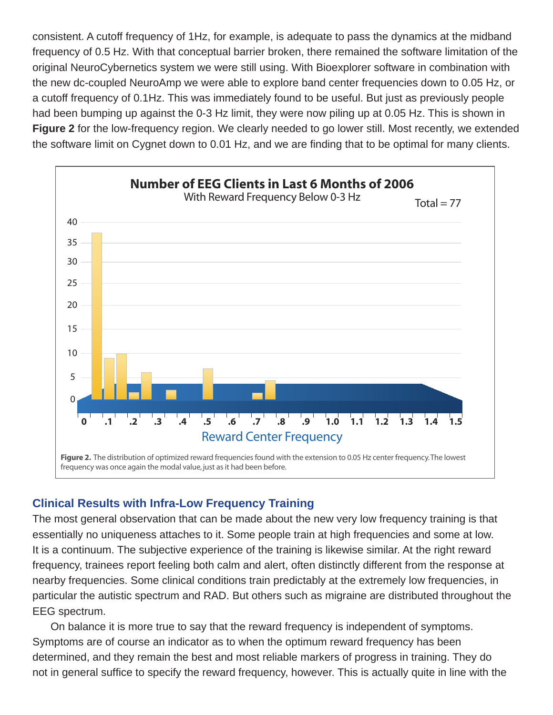consistent. A cutoff frequency of 1Hz, for example, is adequate to pass the dynamics at the midband frequency of 0.5 Hz. With that conceptual barrier broken, there remained the software limitation of the original NeuroCybernetics system we were still using. With Bioexplorer software in combination with the new dc-coupled NeuroAmp we were able to explore band center frequencies down to 0.05 Hz, or a cutoff frequency of 0.1Hz. This was immediately found to be useful. But just as previously people had been bumping up against the 0-3 Hz limit, they were now piling up at 0.05 Hz. This is shown in Figure 2 for the low-frequency region. We clearly needed to go lower still. Most recently, we extended the software limit on Cygnet down to 0.01 Hz, and we are finding that to be optimal for many clients.



# **Clinical Results with Infra-Low Frequency Training**

The most general observation that can be made about the new very low frequency training is that essentially no uniqueness attaches to it. Some people train at high frequencies and some at low. It is a continuum. The subjective experience of the training is likewise similar. At the right reward frequency, trainees report feeling both calm and alert, often distinctly different from the response at nearby frequencies. Some clinical conditions train predictably at the extremely low frequencies, in particular the autistic spectrum and RAD. But others such as migraine are distributed throughout the EEG spectrum.

On balance it is more true to say that the reward frequency is independent of symptoms. Symptoms are of course an indicator as to when the optimum reward frequency has been determined, and they remain the best and most reliable markers of progress in training. They do not in general suffice to specify the reward frequency, however. This is actually quite in line with the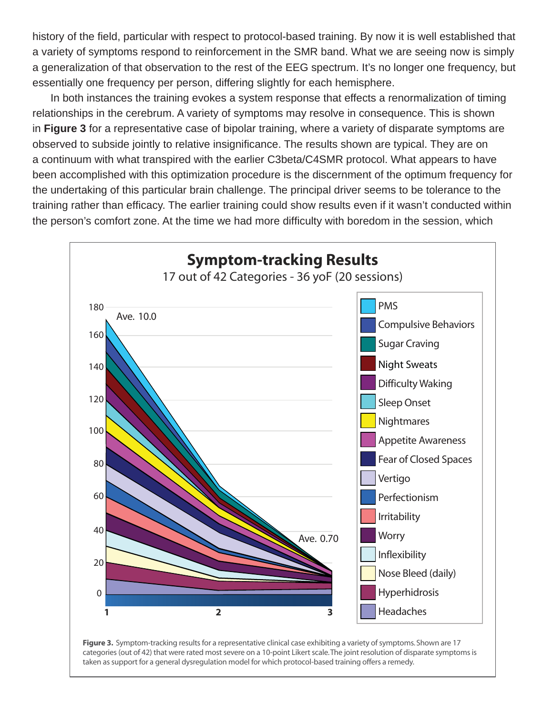history of the field, particular with respect to protocol-based training. By now it is well established that a variety of symptoms respond to reinforcement in the SMR band. What we are seeing now is simply a generalization of that observation to the rest of the EEG spectrum. It's no longer one frequency, but essentially one frequency per person, differing slightly for each hemisphere.

In both instances the training evokes a system response that effects a renormalization of timing relationships in the cerebrum. A variety of symptoms may resolve in consequence. This is shown in **Figure 3** for a representative case of bipolar training, where a variety of disparate symptoms are observed to subside jointly to relative insignificance. The results shown are typical. They are on a continuum with what transpired with the earlier C3beta/C4SMR protocol. What appears to have been accomplished with this optimization procedure is the discernment of the optimum frequency for the undertaking of this particular brain challenge. The principal driver seems to be tolerance to the training rather than efficacy. The earlier training could show results even if it wasn't conducted within the person's comfort zone. At the time we had more difficulty with boredom in the session, which



**Figure 3.** Symptom-tracking results for a representative clinical case exhibiting a variety of symptoms. Shown are 17 categories (out of 42) that were rated most severe on a 10-point Likert scale. The joint resolution of disparate symptoms is taken as support for a general dysregulation model for which protocol-based training offers a remedy.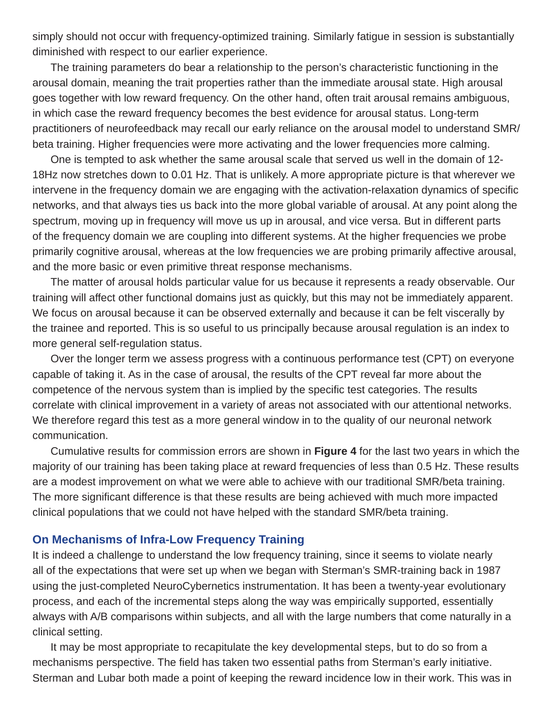simply should not occur with frequency-optimized training. Similarly fatigue in session is substantially diminished with respect to our earlier experience.

The training parameters do bear a relationship to the person's characteristic functioning in the arousal domain, meaning the trait properties rather than the immediate arousal state. High arousal goes together with low reward frequency. On the other hand, often trait arousal remains ambiguous, in which case the reward frequency becomes the best evidence for arousal status. Long-term practitioners of neurofeedback may recall our early reliance on the arousal model to understand SMR/ beta training. Higher frequencies were more activating and the lower frequencies more calming.

One is tempted to ask whether the same arousal scale that served us well in the domain of 12- 18Hz now stretches down to 0.01 Hz. That is unlikely. A more appropriate picture is that wherever we intervene in the frequency domain we are engaging with the activation-relaxation dynamics of specific networks, and that always ties us back into the more global variable of arousal. At any point along the spectrum, moving up in frequency will move us up in arousal, and vice versa. But in different parts of the frequency domain we are coupling into different systems. At the higher frequencies we probe primarily cognitive arousal, whereas at the low frequencies we are probing primarily affective arousal, and the more basic or even primitive threat response mechanisms.

The matter of arousal holds particular value for us because it represents a ready observable. Our training will affect other functional domains just as quickly, but this may not be immediately apparent. We focus on arousal because it can be observed externally and because it can be felt viscerally by the trainee and reported. This is so useful to us principally because arousal regulation is an index to more general self-regulation status.

Over the longer term we assess progress with a continuous performance test (CPT) on everyone capable of taking it. As in the case of arousal, the results of the CPT reveal far more about the competence of the nervous system than is implied by the specific test categories. The results correlate with clinical improvement in a variety of areas not associated with our attentional networks. We therefore regard this test as a more general window in to the quality of our neuronal network communication.

Cumulative results for commission errors are shown in **Figure 4** for the last two years in which the majority of our training has been taking place at reward frequencies of less than 0.5 Hz. These results are a modest improvement on what we were able to achieve with our traditional SMR/beta training. The more significant difference is that these results are being achieved with much more impacted clinical populations that we could not have helped with the standard SMR/beta training.

### **On Mechanisms of Infra-Low Frequency Training**

It is indeed a challenge to understand the low frequency training, since it seems to violate nearly all of the expectations that were set up when we began with Sterman's SMR-training back in 1987 using the just-completed NeuroCybernetics instrumentation. It has been a twenty-year evolutionary process, and each of the incremental steps along the way was empirically supported, essentially always with A/B comparisons within subjects, and all with the large numbers that come naturally in a clinical setting.

It may be most appropriate to recapitulate the key developmental steps, but to do so from a mechanisms perspective. The field has taken two essential paths from Sterman's early initiative. Sterman and Lubar both made a point of keeping the reward incidence low in their work. This was in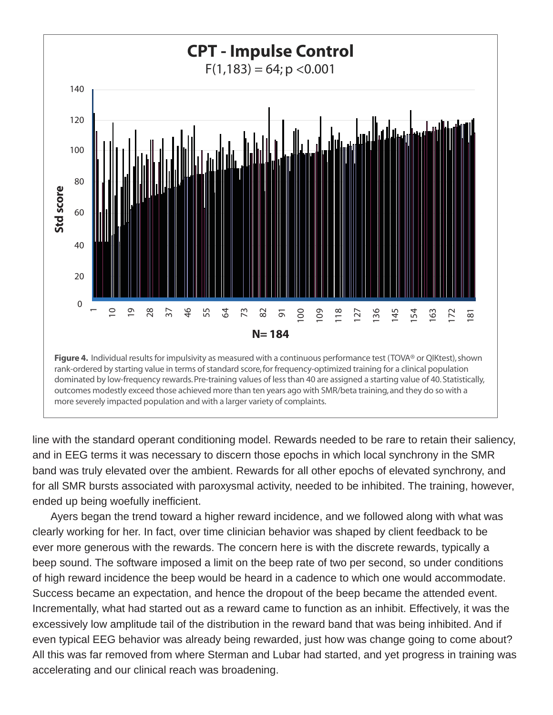

line with the standard operant conditioning model. Rewards needed to be rare to retain their saliency, and in EEG terms it was necessary to discern those epochs in which local synchrony in the SMR band was truly elevated over the ambient. Rewards for all other epochs of elevated synchrony, and for all SMR bursts associated with paroxysmal activity, needed to be inhibited. The training, however, ended up being woefully inefficient.

Ayers began the trend toward a higher reward incidence, and we followed along with what was clearly working for her. In fact, over time clinician behavior was shaped by client feedback to be ever more generous with the rewards. The concern here is with the discrete rewards, typically a beep sound. The software imposed a limit on the beep rate of two per second, so under conditions of high reward incidence the beep would be heard in a cadence to which one would accommodate. Success became an expectation, and hence the dropout of the beep became the attended event. Incrementally, what had started out as a reward came to function as an inhibit. Effectively, it was the excessively low amplitude tail of the distribution in the reward band that was being inhibited. And if even typical EEG behavior was already being rewarded, just how was change going to come about? All this was far removed from where Sterman and Lubar had started, and yet progress in training was accelerating and our clinical reach was broadening.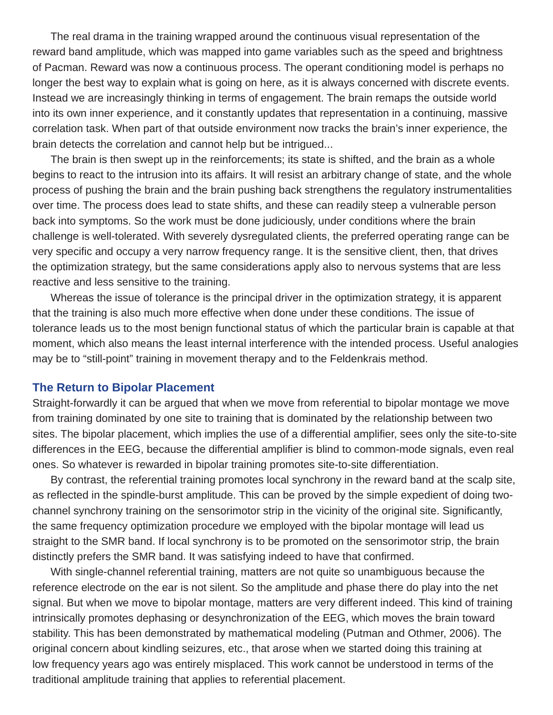The real drama in the training wrapped around the continuous visual representation of the reward band amplitude, which was mapped into game variables such as the speed and brightness of Pacman. Reward was now a continuous process. The operant conditioning model is perhaps no longer the best way to explain what is going on here, as it is always concerned with discrete events. Instead we are increasingly thinking in terms of engagement. The brain remaps the outside world into its own inner experience, and it constantly updates that representation in a continuing, massive correlation task. When part of that outside environment now tracks the brain's inner experience, the brain detects the correlation and cannot help but be intrigued...

The brain is then swept up in the reinforcements; its state is shifted, and the brain as a whole begins to react to the intrusion into its affairs. It will resist an arbitrary change of state, and the whole process of pushing the brain and the brain pushing back strengthens the regulatory instrumentalities over time. The process does lead to state shifts, and these can readily steep a vulnerable person back into symptoms. So the work must be done judiciously, under conditions where the brain challenge is well-tolerated. With severely dysregulated clients, the preferred operating range can be very specific and occupy a very narrow frequency range. It is the sensitive client, then, that drives the optimization strategy, but the same considerations apply also to nervous systems that are less reactive and less sensitive to the training.

Whereas the issue of tolerance is the principal driver in the optimization strategy, it is apparent that the training is also much more effective when done under these conditions. The issue of tolerance leads us to the most benign functional status of which the particular brain is capable at that moment, which also means the least internal interference with the intended process. Useful analogies may be to "still-point" training in movement therapy and to the Feldenkrais method.

#### **The Return to Bipolar Placement**

Straight-forwardly it can be argued that when we move from referential to bipolar montage we move from training dominated by one site to training that is dominated by the relationship between two sites. The bipolar placement, which implies the use of a differential amplifier, sees only the site-to-site differences in the EEG, because the differential amplifier is blind to common-mode signals, even real ones. So whatever is rewarded in bipolar training promotes site-to-site differentiation.

By contrast, the referential training promotes local synchrony in the reward band at the scalp site, as reflected in the spindle-burst amplitude. This can be proved by the simple expedient of doing twochannel synchrony training on the sensorimotor strip in the vicinity of the original site. Significantly, the same frequency optimization procedure we employed with the bipolar montage will lead us straight to the SMR band. If local synchrony is to be promoted on the sensorimotor strip, the brain distinctly prefers the SMR band. It was satisfying indeed to have that confirmed.

With single-channel referential training, matters are not quite so unambiguous because the reference electrode on the ear is not silent. So the amplitude and phase there do play into the net signal. But when we move to bipolar montage, matters are very different indeed. This kind of training intrinsically promotes dephasing or desynchronization of the EEG, which moves the brain toward stability. This has been demonstrated by mathematical modeling (Putman and Othmer, 2006). The original concern about kindling seizures, etc., that arose when we started doing this training at low frequency years ago was entirely misplaced. This work cannot be understood in terms of the traditional amplitude training that applies to referential placement.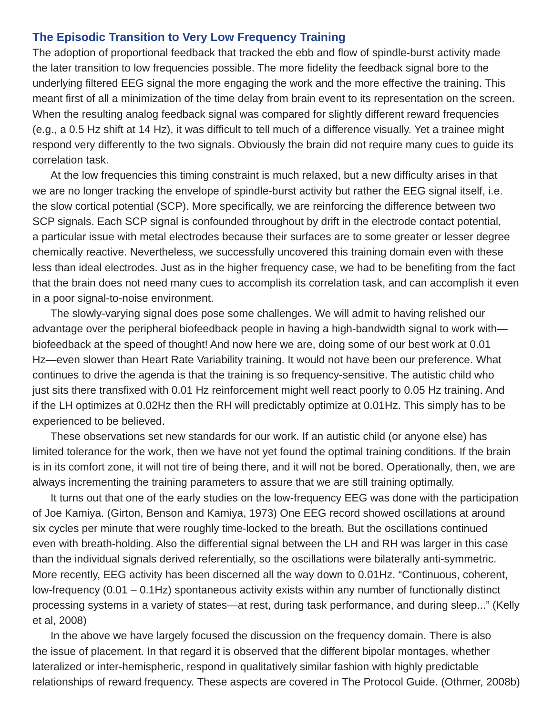## **The Episodic Transition to Very Low Frequency Training**

The adoption of proportional feedback that tracked the ebb and flow of spindle-burst activity made the later transition to low frequencies possible. The more fidelity the feedback signal bore to the underlying filtered EEG signal the more engaging the work and the more effective the training. This meant first of all a minimization of the time delay from brain event to its representation on the screen. When the resulting analog feedback signal was compared for slightly different reward frequencies (e.g., a 0.5 Hz shift at 14 Hz), it was difficult to tell much of a difference visually. Yet a trainee might respond very differently to the two signals. Obviously the brain did not require many cues to guide its correlation task.

At the low frequencies this timing constraint is much relaxed, but a new difficulty arises in that we are no longer tracking the envelope of spindle-burst activity but rather the EEG signal itself, i.e. the slow cortical potential (SCP). More specifically, we are reinforcing the difference between two SCP signals. Each SCP signal is confounded throughout by drift in the electrode contact potential, a particular issue with metal electrodes because their surfaces are to some greater or lesser degree chemically reactive. Nevertheless, we successfully uncovered this training domain even with these less than ideal electrodes. Just as in the higher frequency case, we had to be benefiting from the fact that the brain does not need many cues to accomplish its correlation task, and can accomplish it even in a poor signal-to-noise environment.

The slowly-varying signal does pose some challenges. We will admit to having relished our advantage over the peripheral biofeedback people in having a high-bandwidth signal to work with biofeedback at the speed of thought! And now here we are, doing some of our best work at 0.01 Hz—even slower than Heart Rate Variability training. It would not have been our preference. What continues to drive the agenda is that the training is so frequency-sensitive. The autistic child who just sits there transfixed with 0.01 Hz reinforcement might well react poorly to 0.05 Hz training. And if the LH optimizes at 0.02Hz then the RH will predictably optimize at 0.01Hz. This simply has to be experienced to be believed.

These observations set new standards for our work. If an autistic child (or anyone else) has limited tolerance for the work, then we have not yet found the optimal training conditions. If the brain is in its comfort zone, it will not tire of being there, and it will not be bored. Operationally, then, we are always incrementing the training parameters to assure that we are still training optimally.

It turns out that one of the early studies on the low-frequency EEG was done with the participation of Joe Kamiya. (Girton, Benson and Kamiya, 1973) One EEG record showed oscillations at around six cycles per minute that were roughly time-locked to the breath. But the oscillations continued even with breath-holding. Also the differential signal between the LH and RH was larger in this case than the individual signals derived referentially, so the oscillations were bilaterally anti-symmetric. More recently, EEG activity has been discerned all the way down to 0.01Hz. "Continuous, coherent, low-frequency (0.01 – 0.1Hz) spontaneous activity exists within any number of functionally distinct processing systems in a variety of states—at rest, during task performance, and during sleep..." (Kelly et al, 2008)

In the above we have largely focused the discussion on the frequency domain. There is also the issue of placement. In that regard it is observed that the different bipolar montages, whether lateralized or inter-hemispheric, respond in qualitatively similar fashion with highly predictable relationships of reward frequency. These aspects are covered in The Protocol Guide. (Othmer, 2008b)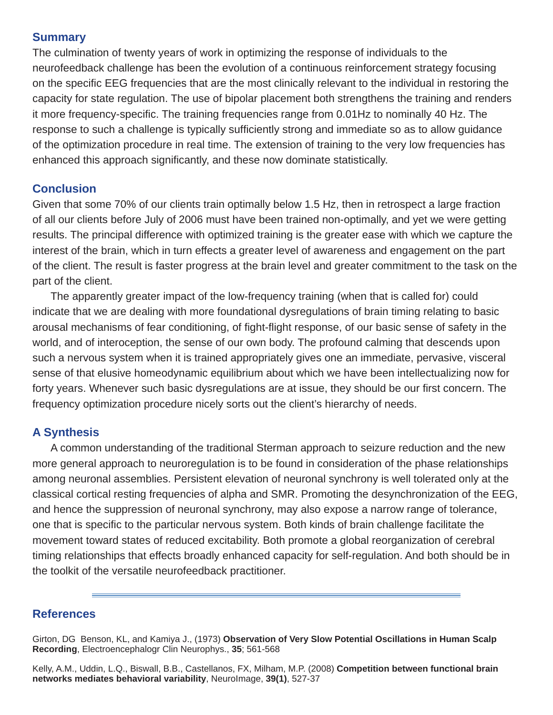# **Summary**

The culmination of twenty years of work in optimizing the response of individuals to the neurofeedback challenge has been the evolution of a continuous reinforcement strategy focusing on the specific EEG frequencies that are the most clinically relevant to the individual in restoring the capacity for state regulation. The use of bipolar placement both strengthens the training and renders it more frequency-specific. The training frequencies range from 0.01Hz to nominally 40 Hz. The response to such a challenge is typically sufficiently strong and immediate so as to allow guidance of the optimization procedure in real time. The extension of training to the very low frequencies has enhanced this approach significantly, and these now dominate statistically.

# **Conclusion**

Given that some 70% of our clients train optimally below 1.5 Hz, then in retrospect a large fraction of all our clients before July of 2006 must have been trained non-optimally, and yet we were getting results. The principal difference with optimized training is the greater ease with which we capture the interest of the brain, which in turn effects a greater level of awareness and engagement on the part of the client. The result is faster progress at the brain level and greater commitment to the task on the part of the client.

The apparently greater impact of the low-frequency training (when that is called for) could indicate that we are dealing with more foundational dysregulations of brain timing relating to basic arousal mechanisms of fear conditioning, of fight-flight response, of our basic sense of safety in the world, and of interoception, the sense of our own body. The profound calming that descends upon such a nervous system when it is trained appropriately gives one an immediate, pervasive, visceral sense of that elusive homeodynamic equilibrium about which we have been intellectualizing now for forty years. Whenever such basic dysregulations are at issue, they should be our first concern. The frequency optimization procedure nicely sorts out the client's hierarchy of needs.

# **A Synthesis**

A common understanding of the traditional Sterman approach to seizure reduction and the new more general approach to neuroregulation is to be found in consideration of the phase relationships among neuronal assemblies. Persistent elevation of neuronal synchrony is well tolerated only at the classical cortical resting frequencies of alpha and SMR. Promoting the desynchronization of the EEG, and hence the suppression of neuronal synchrony, may also expose a narrow range of tolerance, one that is specific to the particular nervous system. Both kinds of brain challenge facilitate the movement toward states of reduced excitability. Both promote a global reorganization of cerebral timing relationships that effects broadly enhanced capacity for self-regulation. And both should be in the toolkit of the versatile neurofeedback practitioner.

# **References**

Girton, DG Benson, KL, and Kamiya J., (1973) **Observation of Very Slow Potential Oscillations in Human Scalp Recording**, Electroencephalogr Clin Neurophys., **35**; 561-568

Kelly, A.M., Uddin, L.Q., Biswall, B.B., Castellanos, FX, Milham, M.P. (2008) **Competition between functional brain networks mediates behavioral variability**, NeuroImage, **39(1)**, 527-37